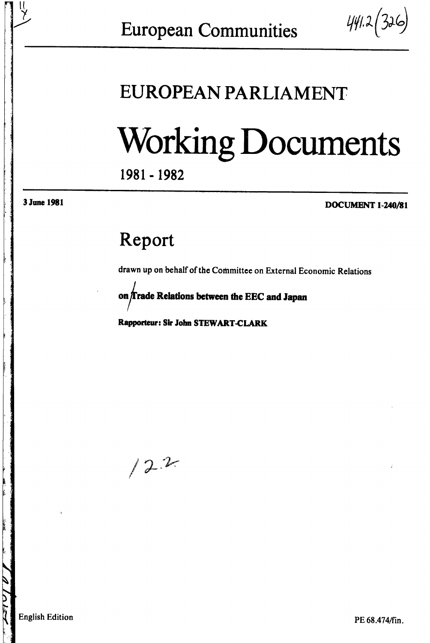**European Communities** 

 $441.2(326)$ 

# **EUROPEAN PARLIAMENT**

Working Documents

1981 - 1982

3 June 1981

**DOCUMENT 1-240/81** 

# Report

drawn up on behalf of the Committee on External Economic Relations

on Trade Relations between the EEC and Japan

**Rapporteur: Sir John STEWART-CLARK** 

 $122$ 

**English Edition** 

ķ

**Bearing** 

**NAVER**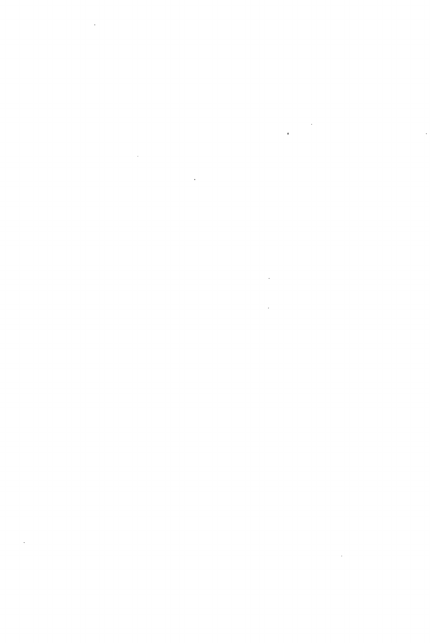$\mathcal{L}^{\text{max}}_{\text{max}}$  , where  $\mathcal{L}^{\text{max}}_{\text{max}}$ 

 $\label{eq:2.1} \frac{1}{\sqrt{2}}\int_{\mathbb{R}^3}\frac{1}{\sqrt{2}}\left(\frac{1}{\sqrt{2}}\right)^2\frac{1}{\sqrt{2}}\left(\frac{1}{\sqrt{2}}\right)^2\frac{1}{\sqrt{2}}\left(\frac{1}{\sqrt{2}}\right)^2\frac{1}{\sqrt{2}}\left(\frac{1}{\sqrt{2}}\right)^2.$ 

 $\frac{1}{2}$ 

 $\label{eq:2.1} \frac{1}{\sqrt{2}}\int_{\mathbb{R}^3}\frac{1}{\sqrt{2}}\left(\frac{1}{\sqrt{2}}\right)^2\frac{1}{\sqrt{2}}\left(\frac{1}{\sqrt{2}}\right)^2\frac{1}{\sqrt{2}}\left(\frac{1}{\sqrt{2}}\right)^2\frac{1}{\sqrt{2}}\left(\frac{1}{\sqrt{2}}\right)^2.$  $\label{eq:2.1} \frac{1}{2} \sum_{i=1}^n \frac{1}{2} \sum_{i=1}^n \frac{1}{2} \sum_{i=1}^n \frac{1}{2} \sum_{i=1}^n \frac{1}{2} \sum_{i=1}^n \frac{1}{2} \sum_{i=1}^n \frac{1}{2} \sum_{i=1}^n \frac{1}{2} \sum_{i=1}^n \frac{1}{2} \sum_{i=1}^n \frac{1}{2} \sum_{i=1}^n \frac{1}{2} \sum_{i=1}^n \frac{1}{2} \sum_{i=1}^n \frac{1}{2} \sum_{i=1}^n \frac{$ 

 $\label{eq:2.1} \frac{1}{\sqrt{2}}\int_{\mathbb{R}^3}\frac{1}{\sqrt{2}}\left(\frac{1}{\sqrt{2}}\right)^2\frac{1}{\sqrt{2}}\left(\frac{1}{\sqrt{2}}\right)^2\frac{1}{\sqrt{2}}\left(\frac{1}{\sqrt{2}}\right)^2\frac{1}{\sqrt{2}}\left(\frac{1}{\sqrt{2}}\right)^2\frac{1}{\sqrt{2}}\left(\frac{1}{\sqrt{2}}\right)^2\frac{1}{\sqrt{2}}\frac{1}{\sqrt{2}}\frac{1}{\sqrt{2}}\frac{1}{\sqrt{2}}\frac{1}{\sqrt{2}}\frac{1}{\sqrt{2}}$ 

 $\label{eq:2.1} \frac{1}{\sqrt{2}}\int_{\mathbb{R}^3}\frac{1}{\sqrt{2}}\left(\frac{1}{\sqrt{2}}\right)^2\frac{1}{\sqrt{2}}\left(\frac{1}{\sqrt{2}}\right)^2\frac{1}{\sqrt{2}}\left(\frac{1}{\sqrt{2}}\right)^2\frac{1}{\sqrt{2}}\left(\frac{1}{\sqrt{2}}\right)^2.$ 

 $\mathcal{A}^{\text{max}}_{\text{max}}$ 

 $\mathcal{L}^{\text{max}}_{\text{max}}$  and  $\mathcal{L}^{\text{max}}_{\text{max}}$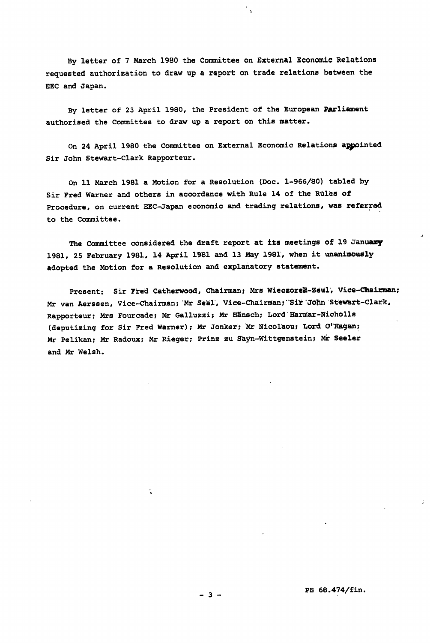By letter of 7 March 1980 the Committee on External Economic Relations requested authorization to draw up a report on trade relations between the EEC and Japan.

By letter of 23 April 1980, the President of the European Parliament authorised the Committee to draw up a report on this matter.

On 24 April 1980 the Committee on External Economic Relations appointed Sir John Stewart-Clark Rapporteur.

On 11 March 1981 a Motion for a Resolution (Doc. 1-966/80) tabled by Sir Fred Warner and others in accordance with Rule 14 of the Rules of Procedure, on current EEC-Japan economic and trading relations, was referred to the Committee.

The Committee considered the draft report at its meetings of 19 January 1981, 25 February 1981, 14 April 1981 and 13 May 1981, when it unanimously adopted the Motion for a Resolution and explanatory statement.

Present: Sir Fred Catherwood, Chairman; Mrs Wieczorek-Zeul, Vice-Chairman; Mr van Aerssen, Vice-Chairman; Mr Seal, Vice-Chairman; Sir John Stewart-Clark, Rapporteur; Mrs Fourcade; Mr Galluzzi; Mr Hänsch; Lord Harmar-Nicholls (deputizing for Sir Fred Warner); Mr Jonker; Mr Nicolaou; Lord O'Hagan; Mr Pelikan; Mr Radoux; Mr Rieger; Prinz zu Sayn-Wittgenstein; Mr Seeler and Mr Welsh.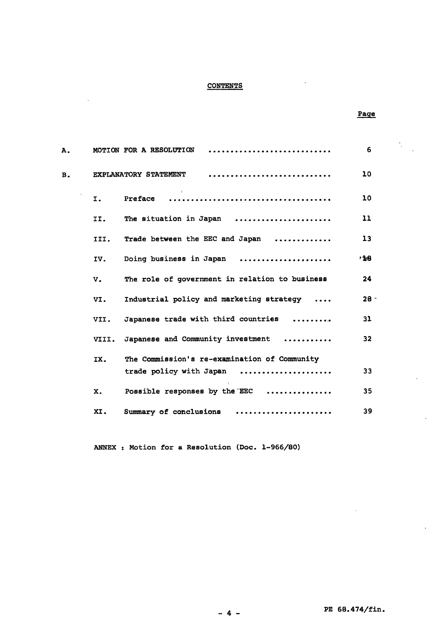# **CONTENTS**

 $\sim$   $\sim$ 

# Page

 $\frac{1}{2} \sum_{i=1}^{n}$ 

 $\ddot{\phantom{0}}$ 

 $\ddot{\phantom{a}}$ 

 $\bar{\epsilon}$ 

 $\sim$ 

| Α.    |               | MOTION FOR A RESOLUTION                                                 | 6          |
|-------|---------------|-------------------------------------------------------------------------|------------|
| $B$ . |               | EXPLANATORY STATEMENT                                                   | 10         |
|       | I.            | Preface                                                                 | 10         |
|       | II.           | The situation in Japan                                                  | 11         |
|       | III.          | Trade between the EEC and Japan                                         | 13         |
|       | IV.           | Doing business in Japan                                                 | <b>118</b> |
|       | $V_{\bullet}$ | The role of government in relation to business                          | 24         |
|       | VI.           | Industrial policy and marketing strategy                                | $28 -$     |
|       | VII.          | Japanese trade with third countries                                     | 31         |
|       | VIII.         | Japanese and Community investment                                       | 32         |
|       | IX.           | The Commission's re-examination of Community<br>trade policy with Japan | 33         |
|       | X.            | Possible responses by the EEC                                           | 35         |
|       | XI.           | Summary of conclusions                                                  | 39         |

ANNEX : Motion for a Resolution (Doc. 1-966/80)

 $\bar{\rm s}$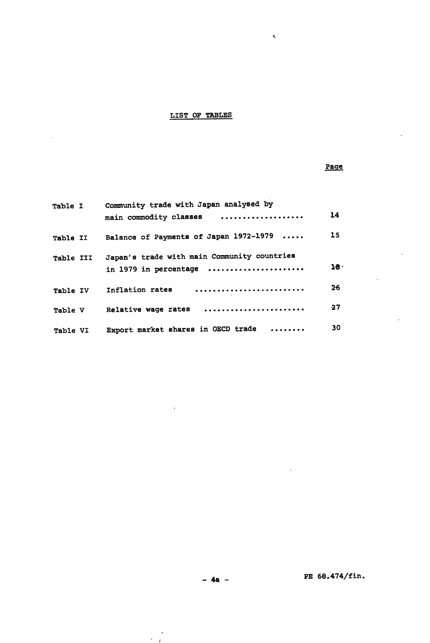# LIST OF TABLES

 $\ddot{\phantom{1}}$ 

# Page

 $\ddot{\phantom{0}}$ 

 $\tilde{\mathbf{r}}$ 

| <b>Table I</b> | Community trade with Japan analysed by      |        |
|----------------|---------------------------------------------|--------|
|                | main commodity classes                      | 14     |
| Table II       | Balance of Payments of Japan 1972-1979      | 15     |
| Table III      | Japan's trade with main Community countries |        |
|                | in 1979 in percentage                       | $18 -$ |
| Table IV       | Inflation rates                             | 26     |
| Table V        | Relative wage rates                         | $-27$  |
| Table VI       | .<br>Export market shares in OECD trade     | 30     |

 $\ddot{\phantom{0}}$ 

 $\overline{\phantom{a}}$  $\epsilon_{\rm eff}$   $\bar{t}$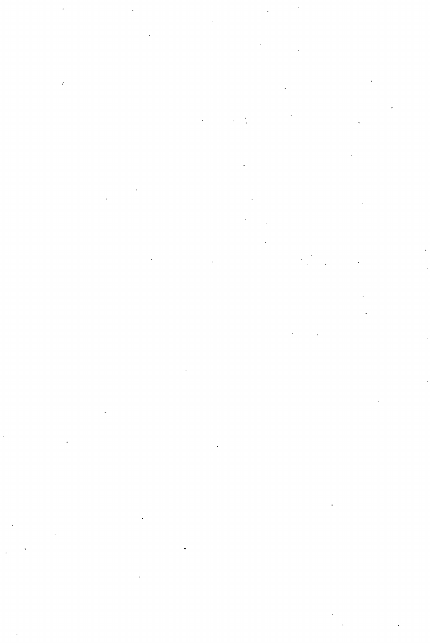$\frac{1}{2} \sum_{i=1}^{n} \frac{1}{2} \sum_{j=1}^{n} \frac{1}{2} \sum_{j=1}^{n} \frac{1}{2} \sum_{j=1}^{n} \frac{1}{2} \sum_{j=1}^{n} \frac{1}{2} \sum_{j=1}^{n} \frac{1}{2} \sum_{j=1}^{n} \frac{1}{2} \sum_{j=1}^{n} \frac{1}{2} \sum_{j=1}^{n} \frac{1}{2} \sum_{j=1}^{n} \frac{1}{2} \sum_{j=1}^{n} \frac{1}{2} \sum_{j=1}^{n} \frac{1}{2} \sum_{j=1}^{n$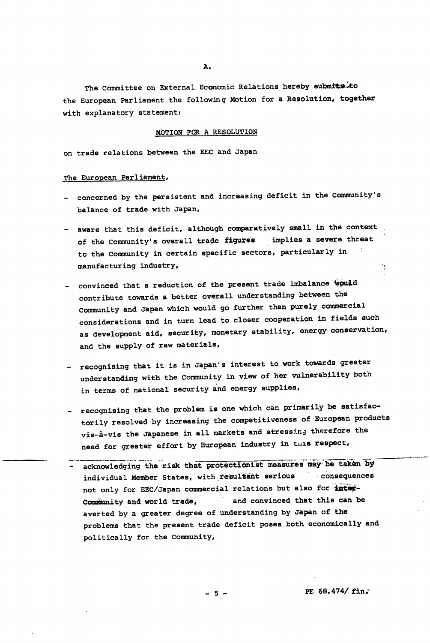The Committee on External Economic Relations hereby submitato the European Parliament the following Motion for a Resolution, together with explanatory statement:

# MOTION FOR A RESOLUTION

on trade relations between the EEC and Japan

### The European Parliament,

- concerned by the persistent and increasing deficit in the Community's balance of trade with Japan,
- aware that this deficit, although comparatively small in the context implies a severe threat of the Community's overall trade figures to the Community in certain specific sectors, particularly in manufacturing industry,
- convinced that a reduction of the present trade imbalance would contribute towards a better overall understanding between the Community and Japan which would go further than purely commercial considerations and in turn lead to closer cooperation in fields such as development aid, security, monetary stability, energy conservation, and the supply of raw materials,
- recognising that it is in Japan's interest to work towards greater understanding with the Community in view of her vulnerability both in terms of national security and energy supplies,
- recognising that the problem is one which can primarily be satisfactorily resolved by increasing the competitiveness of European products vis-à-vis the Japanese in all markets and stressing therefore the need for greater effort by European industry in this respect,
- acknowledging the risk that protectionist measures may be taken by individual Member States, with resultant serious consequences not only for EEC/Japan commercial relations but also for interand convinced that this can be Community and world trade, averted by a greater degree of understanding by Japan of the problems that the present trade deficit poses both economically and politically for the Community,

PE 68.474/fin.

٠ŧ,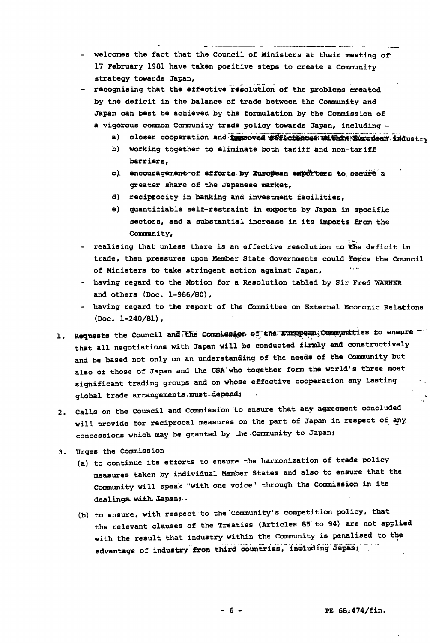- welcomes the fact that the Council of Ministers at their meeting of 17 February 1981 have taken positive steps to create a Community strategy towards Japan,
- recognising that the effective resolution of the problems created by the deficit in the balance of trade between the Community and Japan can best be achieved by the formulation by the Commission of a vigorous common Community trade policy towards Japan, including
	- closer cooperation and improved sfficiences within suropean industry a)
	- b) working together to eliminate both tariff and non-tariff barriers,
	- c), encouragement of efforts by European exporters to secure a greater share of the Japanese market,
	- d) reciprocity in banking and investment facilities,
	- e) quantifiable self-restraint in exports by Japan in specific sectors, and a substantial increase in its imports from the Community,
- realising that unless there is an effective resolution to the deficit in trade, then pressures upon Member State Governments could force the Council of Ministers to take stringent action against Japan,
- having regard to the Motion for a Resolution tabled by Sir Fred WARNER and others (Doc. 1-966/80),
- having regard to the report of the Committee on External Economic Relations  $(Doc. 1-240/81)$ ,
- 1. Requests the Council and the Commission of the European Communities to ensure that all negotiations with Japan will be conducted firmly and constructively and be based not only on an understanding of the needs of the Community but also of those of Japan and the USA who together form the world's three most significant trading groups and on whose effective cooperation any lasting global trade arrangements.must.depend;
- 2. Calls on the Council and Commission to ensure that any agreement concluded will provide for reciprocal measures on the part of Japan in respect of any concessions which may be granted by the Community to Japan;
- 3. Urges the Commission
	- (a) to continue its efforts to ensure the harmonization of trade policy measures taken by individual Member States and also to ensure that the Community will speak "with one voice" through the Commission in its dealings. with Japan:
	- (b) to ensure, with respect to the Community's competition policy, that the relevant clauses of the Treaties (Articles 85 to 94) are not applied with the result that industry within the Community is penalised to the advantage of industry from third countries, including Japan;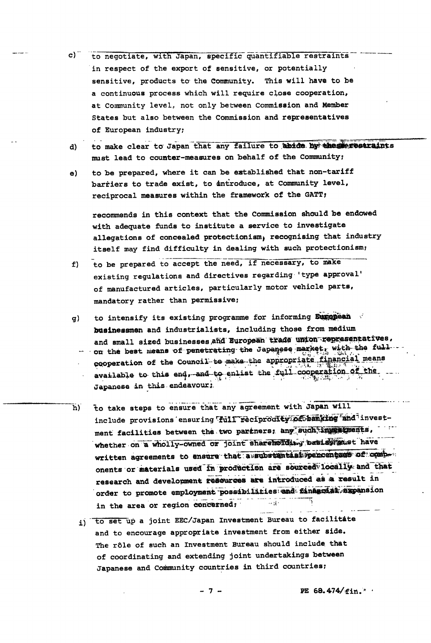- $c)$ <sup>"</sup> to negotiate, with Japan, specific quantifiable restraints in respect of the export of sensitive, or potentially sensitive, products to the Community. This will have to be a continuous process which will require close cooperation, at Community level, not only between Commission and Member States but also between the Commission and representatives of European industry;
- to make clear to Japan that any failure to abide by the merestraints  $d)$ must lead to counter-measures on behalf of the Community;
- to be prepared, where it can be established that non-tariff  $e)$ barriers to trade exist, to untroduce, at Community level, reciprocal measures within the framework of the GATT;

recommends in this context that the Commission should be endowed with adequate funds to institute a service to investigate allegations of concealed protectionism, recognising that industry itself may find difficulty in dealing with such protectionism;

- to be prepared to accept the need, if necessary, to make  $f$ ) existing regulations and directives regarding 'type approval' of manufactured articles, particularly motor vehicle parts, mandatory rather than permissive;
- to intensify its existing programme for informing European g) businessmen and industrialists, including those from medium and small sized businesses and European trade union representatives,
	- on the best means of penetrating the Japanese market, with the full cooperation of the Council to make the appropriate financial means available to this end, and to enlist the full cooperation of the Japanese in this endeavour:
- to take steps to ensure that any agreement with Japan will  $\mathbf{h}$ ) include provisions ensuring full reciprodity of banking and investment facilities between the two partners; any such investments, whether on a wholly-owned or joint shareholding basing manst have written agreements to ensure that a substantial percentage of comp. onents or materials used in production are sourced locally and that research and development resources are introduced as a result in order to promote employment possibilities and financial expansion  $\frac{1}{\sqrt{2}}$  and  $\frac{1}{\sqrt{2}}$ ۰۳, in the area or region concerned;
	- i) to set up a joint EEC/Japan Investment Bureau to facilitate and to encourage appropriate investment from either side. The rôle of such an Investment Bureau should include that of coordinating and extending joint undertakings between Japanese and Community countries in third countries;

$$
-7 -
$$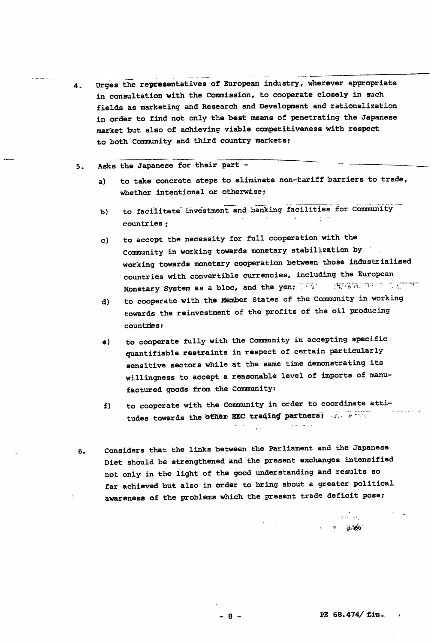- Urges the representatives of European industry, wherever appropriate 4. in consultation with the Commission, to cooperate closely in such fields as marketing and Research and Development and rationalization in order to find not only the best means of penetrating the Japanese market but also of achieving viable competitiveness with respect to both Community and third country markets;
- Asks the Japanese for their part - $5.$

 $\frac{1}{2}$  and  $\frac{1}{2}$  and  $\frac{1}{2}$  and  $\frac{1}{2}$  and  $\frac{1}{2}$ 

- to take concrete steps to eliminate non-tariff barriers to trade, a) whether intentional or otherwise;
- to facilitate investment and banking facilities for Community  $b)$ countries;
- to accept the necessity for full cooperation with the  $\mathbf{c}$ ) Community in working towards monetary stabilization by working towards monetary cooperation between those industrialised countries with convertible currencies, including the European Monetary System as a bloc, and the yen: West Servers with the way
- to cooperate with the Member States of the Community in working  $\mathbf{d}$ towards the reinvestment of the profits of the oil producing countries;
- to cooperate fully with the Community in accepting specific  $e)$ quantifiable restraints in respect of certain particularly sensitive sectors while at the same time demonstrating its willingness to accept a reasonable level of imports of manufactured goods from the Community;
- to cooperate with the Community in order to coordinate atti $f$ ) tudes towards the other EEC trading partners, where the  $\sim$   $\sim$   $\sim$   $\sim$  $\mathcal{F}(\mathcal{F}) = \frac{1}{2} \int_{\mathcal{F}} \mathcal{F}(\mathcal{F}) \mathcal{F}(\mathcal{F})$
- Considers that the links between the Parliament and the Japanese  $6.$ Diet should be strengthened and the present exchanges intensified not only in the light of the good understanding and results so far achieved but also in order to bring about a greater political awareness of the problems which the present trade deficit pose;

PE  $68.474 / \text{fin.}$ 

 $\mathcal{A}(\mathbf{z})$  ,  $\mathcal{A}(\mathbf{z})$  ,  $\mathcal{A}(\mathbf{z})$  $\sim$  and  $\sim$ 

 $-8 -$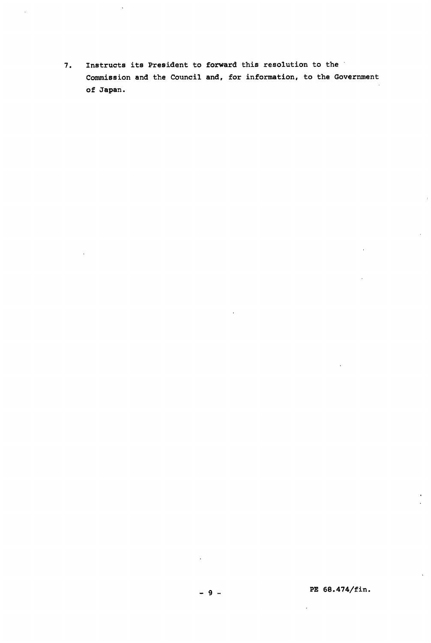Instructs its President to forward this resolution to the  $7.$ Commission and the Council and, for information, to the Government of Japan.

 $\ddot{\phantom{a}}$ 

 $\overline{\phantom{a}}$ 

 $\bar{1}$ 

 $\bar{\lambda}$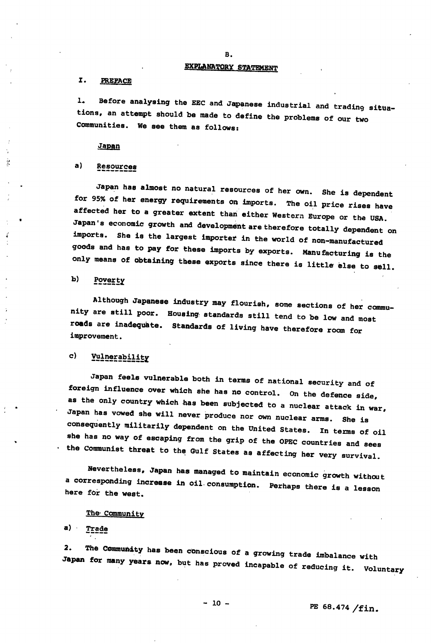# **B. EXPLANATORY STATEMENT**

#### **PREFACE** I.

Before analysing the EEC and Japanese industrial and trading situa- $\mathbf{I}_{\bullet}$ tions, an attempt should be made to define the problems of our two Communities. We see them as follows:

### Japan

#### a) Resources

 $\mathcal{C}$ 

Japan has almost no natural resources of her own. She is dependent for 95% of her energy requirements on imports. The oil price rises have affected her to a greater extent than either Western Europe or the USA. Japan's economic growth and development are therefore totally dependent on imports. She is the largest importer in the world of non-manufactured goods and has to pay for these imports by exports. Manufacturing is the only means of obtaining these exports since there is little else to sell.

#### $\mathbf{b}$ Poverty

Although Japanese industry may flourish, some sections of her community are still poor. Housing standards still tend to be low and most roads are inadequate. Standards of living have therefore room for improvement.

#### $c)$ Vulnerability

Japan feels vulnerable both in terms of national security and of foreign influence over which she has no control. On the defence side, as the only country which has been subjected to a nuclear attack in war, Japan has vowed she will never produce nor own nuclear arms. She is consequently militarily dependent on the United States. In terms of oil she has no way of escaping from the grip of the OPEC countries and sees the Communist threat to the Gulf States as affecting her very survival.

Nevertheless, Japan has managed to maintain economic growth without a corresponding increase in oil consumption. Perhaps there is a lesson here for the west.

# The Community

#### $a)$ Trade

The Community has been conscious of a growing trade imbalance with  $2.$ Japan for many years now, but has proved incapable of reducing it. Voluntary

 $-10 -$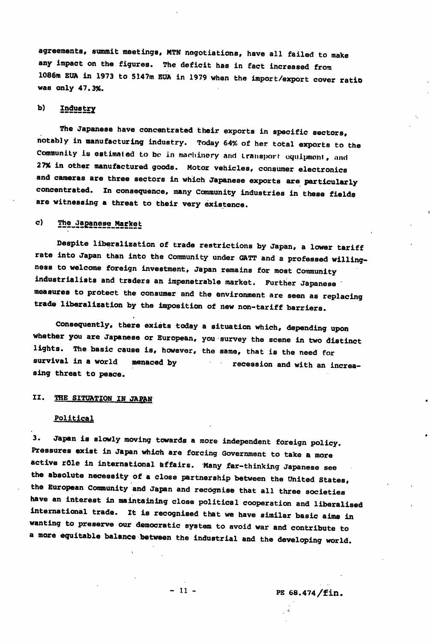agreements, summit meetings, MTN negotiations, have all failed to make any impact on the figures. The deficit has in fact increased from 1086m EUA in 1973 to 5147m EUA in 1979 when the import/export cover ratio was only 47.3%.

#### $\mathbf{b}$ Industry

The Japanese have concentrated their exports in specific sectors, notably in manufacturing industry. Today 64% of her total exports to the Community is estimated to be in machinery and transport equipment, and 27% in other manufactured goods. Motor vehicles, consumer electronics and cameras are three sectors in which Japanese exports are particularly concentrated. In consequence, many Community industries in these fields are witnessing a threat to their very existence.

#### $\mathbf{c}$ The Japanese Market

Despite liberalization of trade restrictions by Japan, a lower tariff rate into Japan than into the Community under GATT and a professed willingness to welcome foreign investment, Japan remains for most Community industrialists and traders an impenetrable market. Further Japanese measures to protect the consumer and the environment are seen as replacing trade liberalization by the imposition of new non-tariff barriers.

Consequently, there exists today a situation which, depending upon whether you are Japanese or European, you survey the scene in two distinct lights. The basic cause is, however, the same, that is the need for survival in a world menaced by recession and with an increasing threat to peace.

# II. THE SITUATION IN JAPAN

### Political

Japan is slowly moving towards a more independent foreign policy.  $3.$ Pressures exist in Japan which are forcing Government to take a more active rôle in international affairs. Many far-thinking Japanese see the absolute necessity of a close partnership between the United States, the European Community and Japan and recognise that all three societies have an interest in maintaining close political cooperation and liberalised international trade. It is recognised that we have similar basic aims in wanting to preserve our democratic system to avoid war and contribute to a more equitable balance between the industrial and the developing world.

 $-11 -$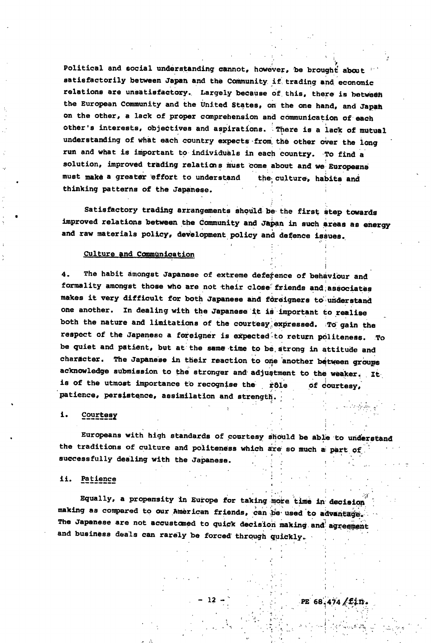Political and social understanding cannot, however, be brought about satisfactorily between Japan and the Community if trading and economic relations are unsatisfactory. Largely because of this, there is between the European Community and the United States, on the one hand, and Japan on the other, a lack of proper comprehension and communication of each other's interests, objectives and aspirations. There is a lack of mutual understanding of what each country expects from the other over the long run and what is important to individuals in each country. To find a solution, improved trading relations must come about and we Europeans must make a greater effort to understand the culture, habits and thinking patterns of the Japanese.

Satisfactory trading arrangements should be the first step towards improved relations between the Community and Japan in such areas as energy and raw materials policy, development policy and defence issues.

### Culture and Communication

The habit amongst Japanese of extreme deference of behaviour and 4. formality amongst those who are not their close friends and associates makes it very difficult for both Japanese and foreigners to understand one another. In dealing with the Japanese it is important to realise both the nature and limitations of the courtesy expressed. To gain the respect of the Japanese a foreigner is expected to return politeness. To be quiet and patient, but at the same time to be strong in attitude and character. The Japanese in their reaction to one another between groups acknowledge submission to the stronger and adjustment to the weaker. It is of the utmost importance to recognise the role of courtesy. patience, persistence, assimilation and strength.

#### $\mathbf{1}$ . Courtesy

Europeans with high standards of courtesy should be able to understand the traditions of culture and politeness which are so much a part of successfully dealing with the Japanese.

# ii. Patience

Equally, a propensity in Europe for taking more time in decision making as compared to our American friends, can be used to advantage. The Japanese are not accustomed to quick decision making and agreement and business deals can rarely be forced through quickly.

12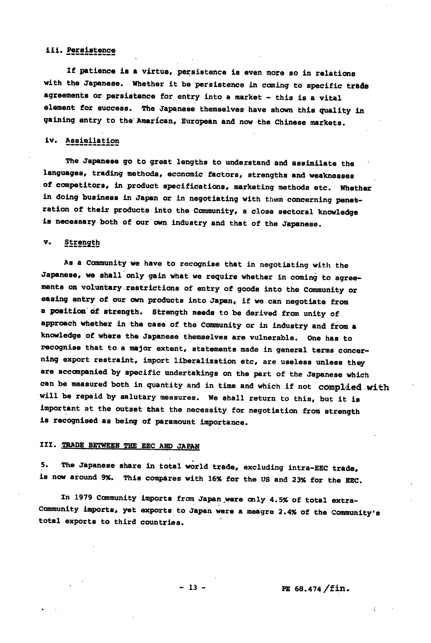### iii. Persistence

If patience is a virtue, persistence is even more so in relations with the Japanese. Whether it be persistence in coming to specific trade agreements or persistence for entry into a market - this is a vital element for success. The Japanese themselves have shown this quality in gaining entry to the American, European and now the Chinese markets.

# iv. Assimilation

The Japanese go to great lengths to understand and assimilate the languages, trading methods, economic factors, strengths and weaknesses of competitors, in product specifications, marketing methods etc. Whether in doing business in Japan or in negotiating with them concerning penetration of their products into the Community, a close sectoral knowledge is necessary both of our own industry and that of the Japanese.

#### Strength  $\mathbf{v}_{\bullet}$

As a Community we have to recognise that in negotiating with the Japanese, we shall only gain what we require whether in coming to agreements on voluntary restrictions of entry of goods into the Community or easing entry of our own products into Japan, if we can negotiate from a position of strength. Strength needs to be derived from unity of approach whether in the case of the Community or in industry and from a knowledge of where the Japanese themselves are vulnerable. One has to recognise that to a major extent, statements made in general terms concerning export restraint, import liberalization etc, are useless unless they are accompanied by specific undertakings on the part of the Japanese which can be measured both in quantity and in time and which if not complied with will be repaid by salutary measures. We shall return to this, but it is important at the outset that the necessity for negotiation from strength is recognised as being of paramount importance.

# III. TRADE BETWEEN THE EEC AND JAPAN

 $5.$ The Japanese share in total world trade, excluding intra-EEC trade, is now around 9%. This compares with 16% for the US and 23% for the EEC.

In 1979 Community imports from Japan were only 4.5% of total extra-Community imports, yet exports to Japan were a meagre 2.4% of the Community's total exports to third countries.

 $-13 -$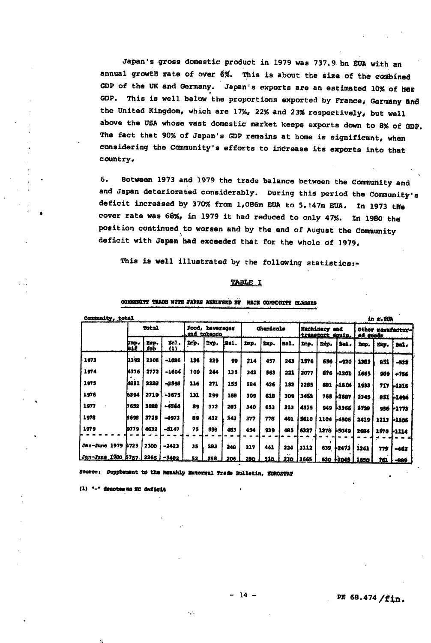Japan's gross domestic product in 1979 was 737.9 bn EUA with an annual growth rate of over 6%. This is about the size of the combined GDP of the UK and Germany. Japan's exports are an estimated 10% of her GDP. This is well below the proportions exported by France, Germany and the United Kingdom, which are 17%, 22% and 23% respectively, but well above the USA whose vast domestic market keeps exports down to 8% of GDP. The fact that 90% of Japan's GDP remains at home is significant, when considering the Community's efforts to increase its exports into that country.

Between 1973 and 1979 the trade balance between the Community and 6. and Japan deteriorated considerably. During this period the Community's deficit increased by 370% from 1,086m EUA to 5,147m EUA. In 1973 the cover rate was 68%, in 1979 it had reduced to only 47%. In 1980 the position continued to worsen and by the end of August the Community deficit with Japan had exceeded that for the whole of 1979.

This is well illustrated by the following statistics:-

### TABLE I

### COMMUNITY THADE WITH JAPAN ANALYSED BY MAIN COMMODITY CLASSES

| Community, total              |             |             |             |                                |      |       |           |      |       |                                                |      |             |                               | in m. EUA |                |  |
|-------------------------------|-------------|-------------|-------------|--------------------------------|------|-------|-----------|------|-------|------------------------------------------------|------|-------------|-------------------------------|-----------|----------------|--|
|                               |             | Total       |             | Food, beverages<br>and tobacco |      |       | Chemicale |      |       | <b>Machinery</b><br>and<br>transport<br>Gouip. |      |             | Other manufactur-<br>ed goods |           |                |  |
|                               | Imp.<br>地上去 | Exp.<br>Lob | žal.<br>{1} | imp.                           | Exp. | lBal. | Imp.      | Exp. | iBal. | lâp.                                           | Exp. | <b>Bal.</b> | Împ.                          | Exp.      | B <sub>2</sub> |  |
| 1973                          | 3392        | 2306        | $-1086$     | 126                            | 225  | 99    | 214       | 457  | 243   | 1576                                           | 656  | $-920$      | 1383                          | 851       | -532           |  |
| 1974                          | 4376        | 2772        | -1604       | 109                            | 244  | 135   | 342       | 563  | 221   | 2077                                           | 876  | -1201       | 1665                          | 969       | ≁756           |  |
| 1975                          | 4821        | 2228        | -2593       | 116                            | 271  | 155   | 284       | 436  | 152   | 2285                                           | 681  | -1604       | 1933                          | 717       | -1216          |  |
| 1976                          | 6394        | 2719        | $-3675$     | 131                            | 299  | 168   | 309       | 618  | 309   | 3452                                           | 765  | 12687       | 2345                          | 851       | 11494          |  |
| 1977                          | 7652        | 3088        | -4364       | 89                             | 372  | 283   | 340       | 653  | 313   | 4315                                           | 949  | 13366       | 2729                          | 936       | 12773          |  |
| 1978                          | 8698        | 3725        | -4973       | 89                             | 432  | 343   | 377       | 778  | 401   | 5610                                           | 1104 | +4506       | 2419                          | 1213      | -1206          |  |
| 1979                          | 9779        | 4632        | -5147       | 75                             | 558  | 483   | 454       | 939  | 485   | 6327                                           | 1278 | 15049       | 2684                          | 1570      | Fiile          |  |
| Jan-June 1979                 | <b>A723</b> | 2300        | $-2423$     | 35                             | 283  | 248   | 217       | 441  | 224   | 3112                                           | 639  | +2473       | 1241                          | 779       | -462           |  |
| Jan-June 1980 5757 2265 -3492 |             |             |             | .52                            | 258. | 206   | 280       | 510. | 230.  | 3665                                           | 620  | +3045       | 1650 F                        | 761       | -and           |  |

Source: Supplement to the Monthly External Trade Bulletin, EUROSTAT

(1) "-" denotes an EC deficit

PE 68.474 /fin.

 $\sim$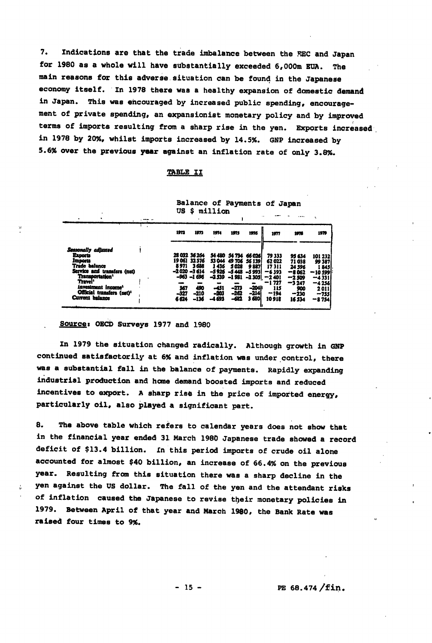Indications are that the trade imbalance between the REC and Japan 7. for 1980 as a whole will have substantially exceeded 6,000m EUA. The main reasons for this adverse situation can be found in the Japanese economy itself. In 1978 there was a healthy expansion of domestic demand in Japan. This was encouraged by increased public spending, encouragement of private spending, an expansionist monetary policy and by improved terms of imports resulting from a sharp rise in the yen. Exports increased in 1978 by 20%, whilst imports increased by 14.5%. GNP increased by 5.6% over the previous year against an inflation rate of only 3.8%.

## TABLE II

Balance of Payments of Japan US \$ million and a complete

|                                                                                                                                                                                                                              | 1972                                      | 1973                                                                                     | 1974                                                                     | 1975                                                                           | 1976                                                            | 1977                                                                                       | 1978                                                                                 | 1979                                                                                     |
|------------------------------------------------------------------------------------------------------------------------------------------------------------------------------------------------------------------------------|-------------------------------------------|------------------------------------------------------------------------------------------|--------------------------------------------------------------------------|--------------------------------------------------------------------------------|-----------------------------------------------------------------|--------------------------------------------------------------------------------------------|--------------------------------------------------------------------------------------|------------------------------------------------------------------------------------------|
| Seasonally adjusted<br><b>Exports</b><br>Imports<br>Trade balance<br>Service and transfers (net)<br>Transportation'<br>Travel'<br>investment income <sup>1</sup><br>Official transfers (net) <sup>1</sup><br>Current balance | 19 061<br>8 9 7 1<br>367<br>-327<br>6 624 | 28 032 36 264<br>32 576<br>3688<br>$-2020 - 3614$<br>-963 -1696<br>490<br>$-210$<br>-136 | 54 480<br>53 044<br>1436<br>-5 926<br>$-2.539$<br>-451<br>-203<br>-4 693 | 54 734<br>49706<br><b>5028</b><br>$-5448$<br>$-1981$<br>-273<br>$-262$<br>-632 | 66026<br>56 139<br>9887<br>-5 993<br>$-2041$<br>$-214$<br>3 680 | 79 333<br>62022<br>17311<br>$-6393$<br>$-2305$ $-2401$<br>-1727<br>115<br>$-194$<br>10 918 | 95 634<br>71038<br>24 5 96<br>$-8062$<br>$-2509$<br>$-3247$<br>900<br>-230<br>16 534 | 101 232<br>99 387<br>1845<br>- 10 599<br>$-4331$<br>$-4256$<br>2011<br>$-755$<br>$-8754$ |
|                                                                                                                                                                                                                              |                                           |                                                                                          |                                                                          |                                                                                |                                                                 |                                                                                            |                                                                                      |                                                                                          |

Source: OECD Surveys 1977 and 1980

In 1979 the situation changed radically. Although growth in GNP continued satisfactorily at 6% and inflation was under control, there was a substantial fall in the balance of payments. Rapidly expanding industrial production and home demand boosted imports and reduced incentives to export. A sharp rise in the price of imported energy, particularly oil, also played a significant part.

The above table which refers to calendar years does not show that 8. in the financial year ended 31 March 1980 Japanese trade showed a record deficit of \$13.4 billion. In this period imports of crude oil alone accounted for almost \$40 billion, an increase of 66.4% on the previous year. Resulting from this situation there was a sharp decline in the yen against the US dollar. The fall of the yen and the attendant risks of inflation caused the Japanese to revise their monetary policies in 1979. Between April of that year and March 1980, the Bank Rate was raised four times to 9%.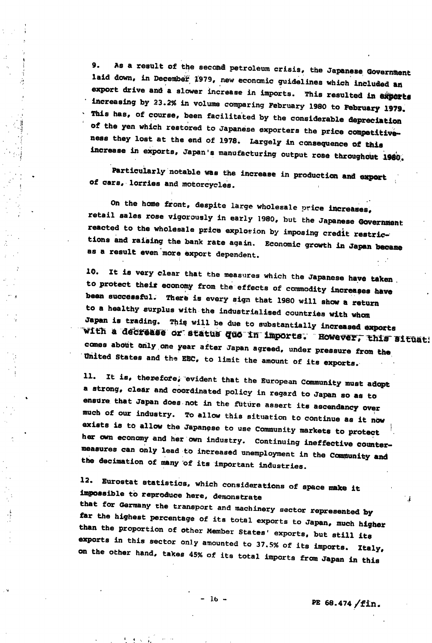As a result of the second petroleum crisis, the Japanese Government 9. laid down, in December 1979, new economic guidelines which included an export drive and a slower increase in imports. This resulted in exports increasing by 23.2% in volume comparing February 1980 to February 1979. This has, of course, been facilitated by the considerable depreciation of the yen which restored to Japanese exporters the price competitiveness they lost at the end of 1978. Largely in consequence of this increase in exports, Japan's manufacturing output rose throughout 1980.

Particularly notable was the increase in production and export of cars, lorries and motorcycles.

On the home front, despite large wholesale price increases, retail sales rose vigorously in early 1980, but the Japanese Government reacted to the wholesale price explosion by imposing credit restrictions and raising the bank rate again. Economic growth in Japan became as a result even more export dependent.

It is very clear that the measures which the Japanese have taken 10. to protect their economy from the effects of commodity increases have been successful. There is every sign that 1980 will show a return to a healthy surplus with the industrialised countries with whom Japan is trading. This will be due to substantially increased exports With a decrease or status quo in imports. However, this situat! comes about only one year after Japan agreed, under pressure from the United States and the EEC, to limit the amount of its exports.

It is, therefore, evident that the European Community must adopt 11. a strong, clear and coordinated policy in regard to Japan so as to ensure that Japan does not in the future assert its ascendancy over much of our industry. To allow this situation to continue as it now exists is to allow the Japanese to use Community markets to protect her own economy and her own industry. Continuing ineffective countermeasures can only lead to increased unemployment in the Community and the decimation of many of its important industries.

12. Eurostat statistics, which considerations of space make it impossible to reproduce here, demonstrate that for Germany the transport and machinery sector represented by far the highest percentage of its total exports to Japan, much higher than the proportion of other Member States' exports, but still its exports in this sector only amounted to 37.5% of its imports. Italy, on the other hand, takes 45% of its total imports from Japan in this

PE 68.474 /fin.

 $-16 -$